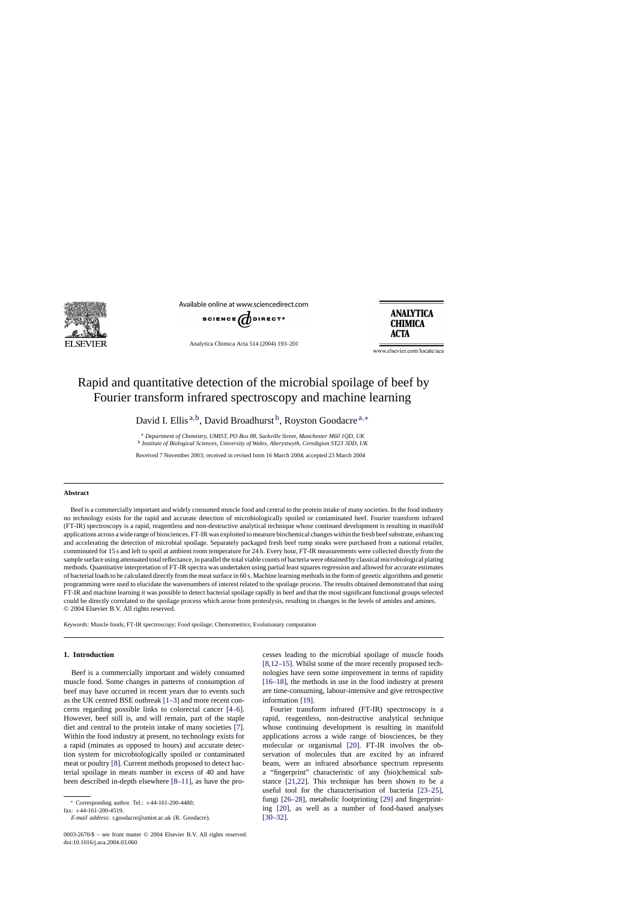

Available online at www.sciencedirect.com



Analytica Chimica Acta 514 (2004) 193–201

**ANALYTICA CHIMICA ACTA** 

www.elsevier.com/locate/aca

# Rapid and quantitative detection of the microbial spoilage of beef by Fourier transform infrared spectroscopy and machine learning

David I. Ellis<sup>a,b</sup>, David Broadhurst<sup>b</sup>, Royston Goodacre<sup>a,\*</sup>

<sup>a</sup> *Department of Chemistry, UMIST, PO Box 88, Sackville Street, Manchester M60 1QD, UK* <sup>b</sup> *Institute of Biological Sciences, University of Wales, Aberystwyth, Ceredigion SY23 3DD, UK*

Received 7 November 2003; received in revised form 16 March 2004; accepted 23 March 2004

## **Abstract**

Beef is a commercially important and widely consumed muscle food and central to the protein intake of many societies. In the food industry no technology exists for the rapid and accurate detection of microbiologically spoiled or contaminated beef. Fourier transform infrared (FT-IR) spectroscopy is a rapid, reagentless and non-destructive analytical technique whose continued development is resulting in manifold applications across a wide range of biosciences. FT-IR was exploited to measure biochemical changes within the fresh beef substrate, enhancing and accelerating the detection of microbial spoilage. Separately packaged fresh beef rump steaks were purchased from a national retailer, comminuted for 15 s and left to spoil at ambient room temperature for 24 h. Every hour, FT-IR measurements were collected directly from the sample surface using attenuated total reflectance, in parallel the total viable counts of bacteria were obtained by classical microbiological plating methods. Quantitative interpretation of FT-IR spectra was undertaken using partial least squares regression and allowed for accurate estimates of bacterial loads to be calculated directly from the meat surface in 60 s. Machine learning methods in the form of genetic algorithms and genetic programming were used to elucidate the wavenumbers of interest related to the spoilage process. The results obtained demonstrated that using FT-IR and machine learning it was possible to detect bacterial spoilage rapidly in beef and that the most significant functional groups selected could be directly correlated to the spoilage process which arose from proteolysis, resulting in changes in the levels of amides and amines. © 2004 Elsevier B.V. All rights reserved.

*Keywords:* Muscle foods; FT-IR spectroscopy; Food spoilage; Chemometrics; Evolutionary computation

# **1. Introduction**

Beef is a commercially important and widely consumed muscle food. Some changes in patterns of consumption of beef may have occurred in recent years due to events such as the UK centred BSE outbreak [\[1–3\]](#page-7-0) and more recent concerns regarding possible links to colorectal cancer [\[4–6\].](#page-7-0) However, beef still is, and will remain, part of the staple diet and central to the protein intake of many societies [\[7\].](#page-7-0) Within the food industry at present, no technology exists for a rapid (minutes as opposed to hours) and accurate detection system for microbiologically spoiled or contaminated meat or poultry [\[8\]. C](#page-7-0)urrent methods proposed to detect bacterial spoilage in meats number in excess of 40 and have been described in-depth elsewhere [\[8–11\],](#page-7-0) as have the pro-

fax: +44-161-200-4519.

cesses leading to the microbial spoilage of muscle foods [\[8,12–15\].](#page-7-0) Whilst some of the more recently proposed technologies have seen some improvement in terms of rapidity [\[16–18\],](#page-7-0) the methods in use in the food industry at present are time-consuming, labour-intensive and give retrospective information [\[19\].](#page-7-0)

Fourier transform infrared (FT-IR) spectroscopy is a rapid, reagentless, non-destructive analytical technique whose continuing development is resulting in manifold applications across a wide range of biosciences, be they molecular or organismal [\[20\].](#page-7-0) FT-IR involves the observation of molecules that are excited by an infrared beam, were an infrared absorbance spectrum represents a "fingerprint" characteristic of any (bio)chemical substance [\[21,22\].](#page-7-0) This technique has been shown to be a useful tool for the characterisation of bacteria [\[23–25\],](#page-7-0) fungi [\[26–28\],](#page-7-0) metabolic footprinting [\[29\]](#page-7-0) and fingerprinting [\[20\],](#page-7-0) as well as a number of food-based analyses [\[30–32\].](#page-7-0)

<sup>∗</sup> Corresponding author. Tel.: +44-161-200-4480;

*E-mail address:* r.goodacre@umist.ac.uk (R. Goodacre).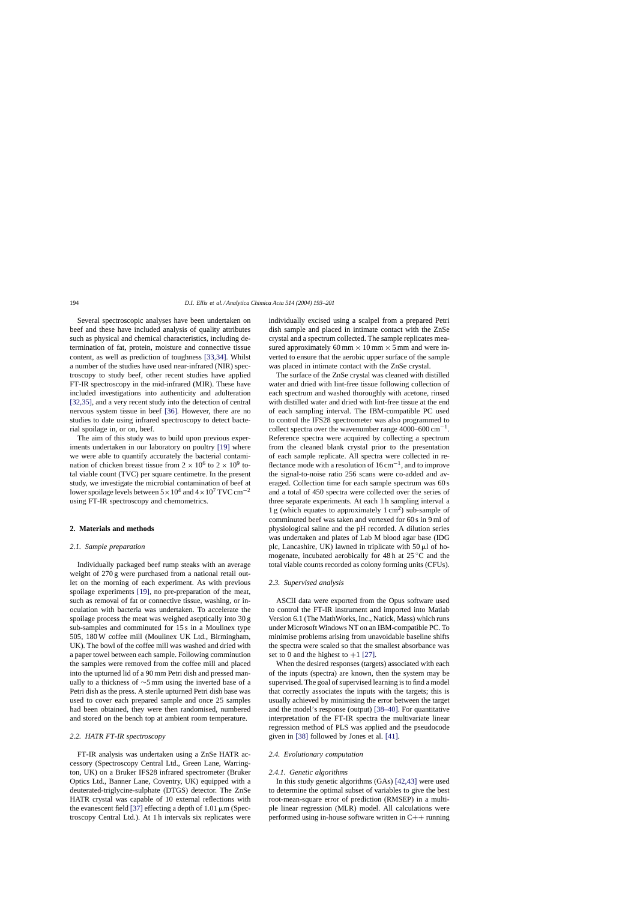Several spectroscopic analyses have been undertaken on beef and these have included analysis of quality attributes such as physical and chemical characteristics, including determination of fat, protein, moisture and connective tissue content, as well as prediction of toughness [\[33,34\].](#page-7-0) Whilst a number of the studies have used near-infrared (NIR) spectroscopy to study beef, other recent studies have applied FT-IR spectroscopy in the mid-infrared (MIR). These have included investigations into authenticity and adulteration [\[32,35\],](#page-7-0) and a very recent study into the detection of central nervous system tissue in beef [\[36\].](#page-7-0) However, there are no studies to date using infrared spectroscopy to detect bacterial spoilage in, or on, beef.

The aim of this study was to build upon previous experiments undertaken in our laboratory on poultry [\[19\]](#page-7-0) where we were able to quantify accurately the bacterial contamination of chicken breast tissue from  $2 \times 10^6$  to  $2 \times 10^9$  total viable count (TVC) per square centimetre. In the present study, we investigate the microbial contamination of beef at lower spoilage levels between  $5 \times 10^4$  and  $4 \times 10^7$  TVC cm<sup>-2</sup> using FT-IR spectroscopy and chemometrics.

## **2. Materials and methods**

# *2.1. Sample preparation*

Individually packaged beef rump steaks with an average weight of 270 g were purchased from a national retail outlet on the morning of each experiment. As with previous spoilage experiments [\[19\],](#page-7-0) no pre-preparation of the meat, such as removal of fat or connective tissue, washing, or inoculation with bacteria was undertaken. To accelerate the spoilage process the meat was weighed aseptically into 30 g sub-samples and comminuted for 15 s in a Moulinex type 505, 180 W coffee mill (Moulinex UK Ltd., Birmingham, UK). The bowl of the coffee mill was washed and dried with a paper towel between each sample. Following comminution the samples were removed from the coffee mill and placed into the upturned lid of a 90 mm Petri dish and pressed manually to a thickness of ∼5 mm using the inverted base of a Petri dish as the press. A sterile upturned Petri dish base was used to cover each prepared sample and once 25 samples had been obtained, they were then randomised, numbered and stored on the bench top at ambient room temperature.

# *2.2. HATR FT-IR spectroscopy*

FT-IR analysis was undertaken using a ZnSe HATR accessory (Spectroscopy Central Ltd., Green Lane, Warrington, UK) on a Bruker IFS28 infrared spectrometer (Bruker Optics Ltd., Banner Lane, Coventry, UK) equipped with a deuterated-triglycine-sulphate (DTGS) detector. The ZnSe HATR crystal was capable of 10 external reflections with the evanescent field [\[37\]](#page-8-0) effecting a depth of  $1.01 \mu m$  (Spectroscopy Central Ltd.). At 1 h intervals six replicates were individually excised using a scalpel from a prepared Petri dish sample and placed in intimate contact with the ZnSe crystal and a spectrum collected. The sample replicates measured approximately 60 mm  $\times$  10 mm  $\times$  5 mm and were inverted to ensure that the aerobic upper surface of the sample was placed in intimate contact with the ZnSe crystal.

The surface of the ZnSe crystal was cleaned with distilled water and dried with lint-free tissue following collection of each spectrum and washed thoroughly with acetone, rinsed with distilled water and dried with lint-free tissue at the end of each sampling interval. The IBM-compatible PC used to control the IFS28 spectrometer was also programmed to collect spectra over the wavenumber range 4000–600 cm<sup>-1</sup>. Reference spectra were acquired by collecting a spectrum from the cleaned blank crystal prior to the presentation of each sample replicate. All spectra were collected in reflectance mode with a resolution of  $16 \text{ cm}^{-1}$ , and to improve the signal-to-noise ratio 256 scans were co-added and averaged. Collection time for each sample spectrum was 60 s and a total of 450 spectra were collected over the series of three separate experiments. At each 1 h sampling interval a 1 g (which equates to approximately  $1 \text{ cm}^2$ ) sub-sample of comminuted beef was taken and vortexed for 60 s in 9 ml of physiological saline and the pH recorded. A dilution series was undertaken and plates of Lab M blood agar base (IDG plc, Lancashire, UK) lawned in triplicate with  $50 \mu l$  of homogenate, incubated aerobically for 48 h at  $25^{\circ}$ C and the total viable counts recorded as colony forming units (CFUs).

## *2.3. Supervised analysis*

ASCII data were exported from the Opus software used to control the FT-IR instrument and imported into Matlab Version 6.1 (The MathWorks, Inc., Natick, Mass) which runs under Microsoft Windows NT on an IBM-compatible PC. To minimise problems arising from unavoidable baseline shifts the spectra were scaled so that the smallest absorbance was set to 0 and the highest to  $+1$  [\[27\].](#page-7-0)

When the desired responses (targets) associated with each of the inputs (spectra) are known, then the system may be supervised. The goal of supervised learning is to find a model that correctly associates the inputs with the targets; this is usually achieved by minimising the error between the target and the model's response (output) [\[38–40\].](#page-8-0) For quantitative interpretation of the FT-IR spectra the multivariate linear regression method of PLS was applied and the pseudocode given in [\[38\]](#page-8-0) followed by Jones et al. [\[41\].](#page-8-0)

# *2.4. Evolutionary computation*

### *2.4.1. Genetic algorithms*

In this study genetic algorithms (GAs) [\[42,43\]](#page-8-0) were used to determine the optimal subset of variables to give the best root-mean-square error of prediction (RMSEP) in a multiple linear regression (MLR) model. All calculations were performed using in-house software written in  $C++$  running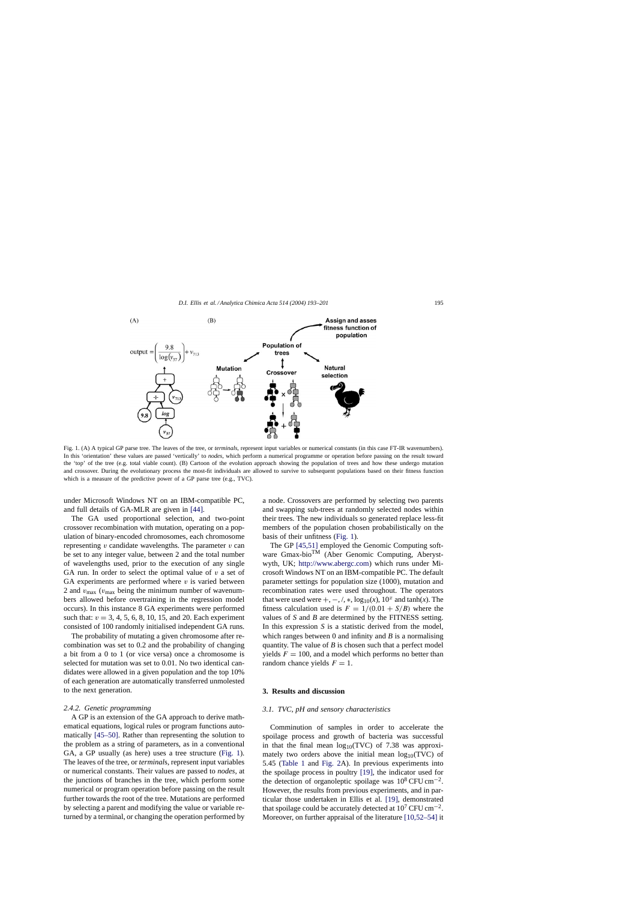

Fig. 1. (A) A typical GP parse tree. The leaves of the tree, or *terminals*, represent input variables or numerical constants (in this case FT-IR wavenumbers). In this 'orientation' these values are passed 'vertically' to *nodes*, which perform a numerical programme or operation before passing on the result toward the 'top' of the tree (e.g. total viable count). (B) Cartoon of the evolution approach showing the population of trees and how these undergo mutation and crossover. During the evolutionary process the most-fit individuals are allowed to survive to subsequent populations based on their fitness function which is a measure of the predictive power of a GP parse tree (e.g., TVC).

under Microsoft Windows NT on an IBM-compatible PC, and full details of GA-MLR are given in [\[44\].](#page-8-0)

The GA used proportional selection, and two-point crossover recombination with mutation, operating on a population of binary-encoded chromosomes, each chromosome representing  $v$  candidate wavelengths. The parameter  $v$  can be set to any integer value, between 2 and the total number of wavelengths used, prior to the execution of any single GA run. In order to select the optimal value of  $v$  a set of GA experiments are performed where  $v$  is varied between 2 and  $v_{\text{max}}$  ( $v_{\text{max}}$  being the minimum number of wavenumbers allowed before overtraining in the regression model occurs). In this instance 8 GA experiments were performed such that:  $v = 3, 4, 5, 6, 8, 10, 15,$  and 20. Each experiment consisted of 100 randomly initialised independent GA runs.

The probability of mutating a given chromosome after recombination was set to 0.2 and the probability of changing a bit from a 0 to 1 (or vice versa) once a chromosome is selected for mutation was set to 0.01. No two identical candidates were allowed in a given population and the top 10% of each generation are automatically transferred unmolested to the next generation.

#### *2.4.2. Genetic programming*

A GP is an extension of the GA approach to derive mathematical equations, logical rules or program functions automatically [\[45–50\].](#page-8-0) Rather than representing the solution to the problem as a string of parameters, as in a conventional GA, a GP usually (as here) uses a tree structure (Fig. 1). The leaves of the tree, or *terminal*s, represent input variables or numerical constants. Their values are passed to *nodes*, at the junctions of branches in the tree, which perform some numerical or program operation before passing on the result further towards the root of the tree. Mutations are performed by selecting a parent and modifying the value or variable returned by a terminal, or changing the operation performed by

a node. Crossovers are performed by selecting two parents and swapping sub-trees at randomly selected nodes within their trees. The new individuals so generated replace less-fit members of the population chosen probabilistically on the basis of their unfitness (Fig. 1).

The GP [\[45,51\]](#page-8-0) employed the Genomic Computing software Gmax-bioTM (Aber Genomic Computing, Aberystwyth, UK; <http://www.abergc.com>) which runs under Microsoft Windows NT on an IBM-compatible PC. The default parameter settings for population size (1000), mutation and recombination rates were used throughout. The operators that were used were  $+$ ,  $-$ ,  $/$ ,  $\ast$ ,  $\log_{10}(x)$ ,  $10^x$  and tanh $(x)$ . The fitness calculation used is  $F = 1/(0.01 + S/B)$  where the values of *S* and *B* are determined by the FITNESS setting. In this expression *S* is a statistic derived from the model, which ranges between 0 and infinity and *B* is a normalising quantity. The value of *B* is chosen such that a perfect model yields  $F = 100$ , and a model which performs no better than random chance yields  $F = 1$ .

# **3. Results and discussion**

## *3.1. TVC, pH and sensory characteristics*

Comminution of samples in order to accelerate the spoilage process and growth of bacteria was successful in that the final mean  $log_{10}(TVC)$  of 7.38 was approximately two orders above the initial mean  $log_{10}(TVC)$  of 5.45 [\(Table 1](#page-3-0) and [Fig. 2A](#page-3-0)). In previous experiments into the spoilage process in poultry [\[19\],](#page-7-0) the indicator used for the detection of organoleptic spoilage was  $10^8$  CFU cm<sup>-2</sup>. However, the results from previous experiments, and in particular those undertaken in Ellis et al. [\[19\],](#page-7-0) demonstrated that spoilage could be accurately detected at  $10^7 \text{ CFU cm}^{-2}$ . Moreover, on further appraisal of the literature [\[10,52–54\]](#page-7-0) it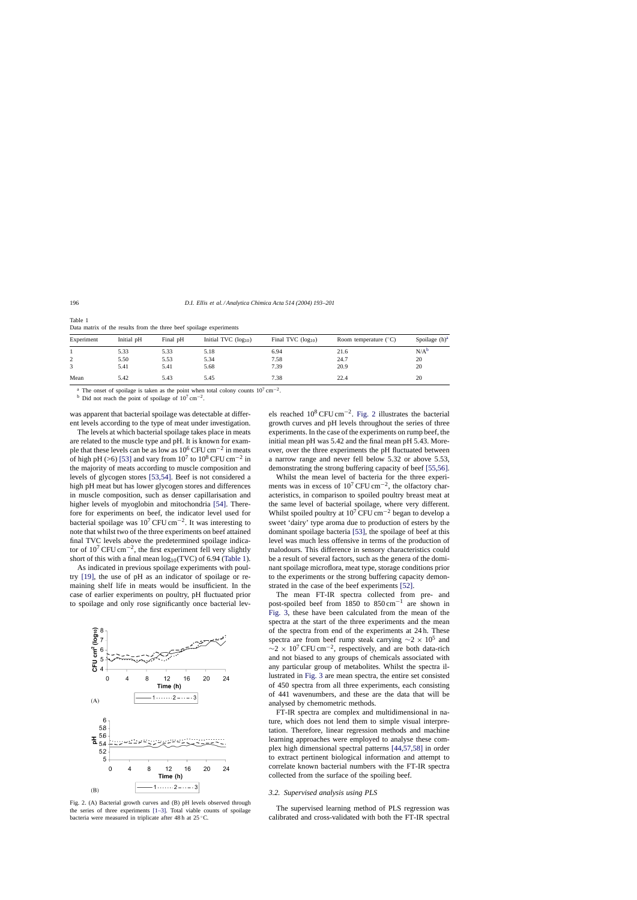| Experiment | Initial pH | Final pH | Initial TVC $(log_{10})$ | Final TVC $(log_{10})$ | Room temperature $(^{\circ}C)$ | Spoilage $(h)^a$ |
|------------|------------|----------|--------------------------|------------------------|--------------------------------|------------------|
|            | 5.33       | 5.33     | 5.18                     | 6.94                   | 21.6                           | $N/A^b$          |
|            | 5.50       | 5.53     | 5.34                     | 7.58                   | 24.7                           | 20               |
|            | 5.41       | 5.41     | 5.68                     | 7.39                   | 20.9                           | 20               |
| Mean       | 5.42       | 5.43     | 5.45                     | 7.38                   | 22.4                           | 20               |

<span id="page-3-0"></span>Table 1 Data matrix of the results from the three beef spoilage experiments

The onset of spoilage is taken as the point when total colony counts  $10^7 \text{ cm}^{-2}$ .

<sup>b</sup> Did not reach the point of spoilage of  $10^7 \text{ cm}^{-2}$ .

was apparent that bacterial spoilage was detectable at different levels according to the type of meat under investigation.

The levels at which bacterial spoilage takes place in meats are related to the muscle type and pH. It is known for example that these levels can be as low as  $10^6$  CFU cm<sup>-2</sup> in meats of high pH (>6) [\[53\]](#page-8-0) and vary from  $10^7$  to  $10^8$  CFU cm<sup>-2</sup> in the majority of meats according to muscle composition and levels of glycogen stores [\[53,54\].](#page-8-0) Beef is not considered a high pH meat but has lower glycogen stores and differences in muscle composition, such as denser capillarisation and higher levels of myoglobin and mitochondria [\[54\].](#page-8-0) Therefore for experiments on beef, the indicator level used for bacterial spoilage was  $10^7$  CFU cm<sup>-2</sup>. It was interesting to note that whilst two of the three experiments on beef attained final TVC levels above the predetermined spoilage indicator of  $10^7 \text{CFU cm}^{-2}$ , the first experiment fell very slightly short of this with a final mean  $log_{10}(TVC)$  of 6.94 (Table 1).

As indicated in previous spoilage experiments with poultry [\[19\],](#page-7-0) the use of pH as an indicator of spoilage or remaining shelf life in meats would be insufficient. In the case of earlier experiments on poultry, pH fluctuated prior to spoilage and only rose significantly once bacterial lev-



Fig. 2. (A) Bacterial growth curves and (B) pH levels observed through the series of three experiments [\[1–3\].](#page-7-0) Total viable counts of spoilage bacteria were measured in triplicate after 48 h at 25 ◦C.

els reached 10<sup>8</sup> CFU cm−2. Fig. 2 illustrates the bacterial growth curves and pH levels throughout the series of three experiments. In the case of the experiments on rump beef, the initial mean pH was 5.42 and the final mean pH 5.43. Moreover, over the three experiments the pH fluctuated between a narrow range and never fell below 5.32 or above 5.53, demonstrating the strong buffering capacity of beef [\[55,56\].](#page-8-0)

Whilst the mean level of bacteria for the three experiments was in excess of  $10^7$  CFU cm<sup>-2</sup>, the olfactory characteristics, in comparison to spoiled poultry breast meat at the same level of bacterial spoilage, where very different. Whilst spoiled poultry at  $10^7$  CFU cm<sup>-2</sup> began to develop a sweet 'dairy' type aroma due to production of esters by the dominant spoilage bacteria [\[53\],](#page-8-0) the spoilage of beef at this level was much less offensive in terms of the production of malodours. This difference in sensory characteristics could be a result of several factors, such as the genera of the dominant spoilage microflora, meat type, storage conditions prior to the experiments or the strong buffering capacity demonstrated in the case of the beef experiments [\[52\].](#page-8-0)

The mean FT-IR spectra collected from pre- and post-spoiled beef from 1850 to 850 cm−<sup>1</sup> are shown in [Fig. 3,](#page-4-0) these have been calculated from the mean of the spectra at the start of the three experiments and the mean of the spectra from end of the experiments at 24 h. These spectra are from beef rump steak carrying  $\sim$ 2 × 10<sup>5</sup> and  $\sim$ 2 × 10<sup>7</sup> CFU cm<sup>-2</sup>, respectively, and are both data-rich and not biased to any groups of chemicals associated with any particular group of metabolites. Whilst the spectra illustrated in [Fig. 3](#page-4-0) are mean spectra, the entire set consisted of 450 spectra from all three experiments, each consisting of 441 wavenumbers, and these are the data that will be analysed by chemometric methods.

FT-IR spectra are complex and multidimensional in nature, which does not lend them to simple visual interpretation. Therefore, linear regression methods and machine learning approaches were employed to analyse these complex high dimensional spectral patterns [\[44,57,58\]](#page-8-0) in order to extract pertinent biological information and attempt to correlate known bacterial numbers with the FT-IR spectra collected from the surface of the spoiling beef.

# *3.2. Supervised analysis using PLS*

The supervised learning method of PLS regression was calibrated and cross-validated with both the FT-IR spectral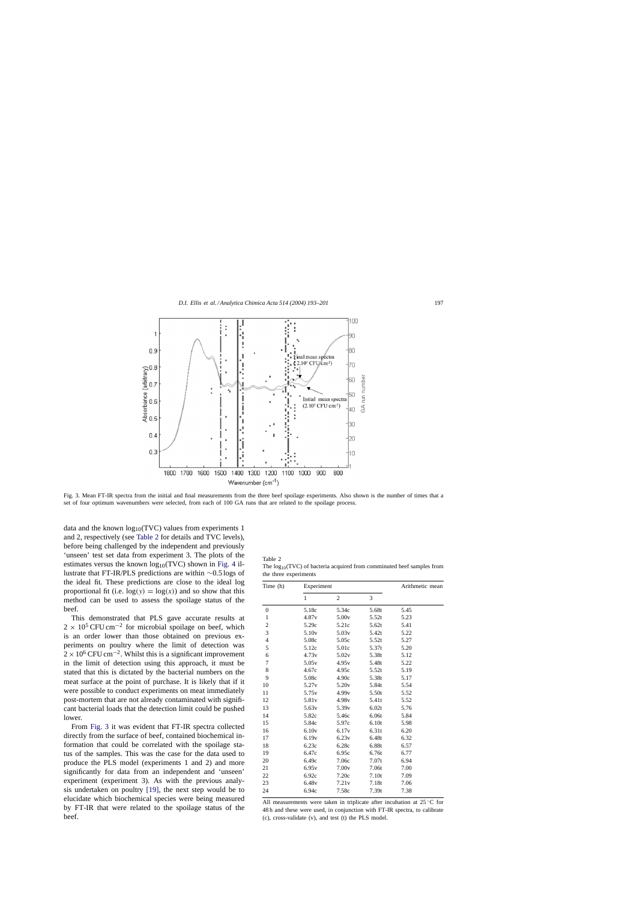<span id="page-4-0"></span>

Fig. 3. Mean FT-IR spectra from the initial and final measurements from the three beef spoilage experiments. Also shown is the number of times that a set of four optimum wavenumbers were selected, from each of 100 GA runs that are related to the spoilage process.

data and the known  $log_{10}(TVC)$  values from experiments 1 and 2, respectively (see Table 2 for details and TVC levels), before being challenged by the independent and previously 'unseen' test set data from experiment 3. The plots of the estimates versus the known  $log_{10}(TVC)$  shown in [Fig. 4](#page-5-0) illustrate that FT-IR/PLS predictions are within ∼0.5 logs of the ideal fit. These predictions are close to the ideal log proportional fit (i.e.  $log(y) = log(x)$ ) and so show that this method can be used to assess the spoilage status of the beef.

This demonstrated that PLS gave accurate results at  $2 \times 10^5$  CFU cm<sup>-2</sup> for microbial spoilage on beef, which is an order lower than those obtained on previous experiments on poultry where the limit of detection was  $2 \times 10^6$  CFU cm<sup>-2</sup>. Whilst this is a significant improvement in the limit of detection using this approach, it must be stated that this is dictated by the bacterial numbers on the meat surface at the point of purchase. It is likely that if it were possible to conduct experiments on meat immediately post-mortem that are not already contaminated with significant bacterial loads that the detection limit could be pushed lower.

From Fig. 3 it was evident that FT-IR spectra collected directly from the surface of beef, contained biochemical information that could be correlated with the spoilage status of the samples. This was the case for the data used to produce the PLS model (experiments 1 and 2) and more significantly for data from an independent and 'unseen' experiment (experiment 3). As with the previous analysis undertaken on poultry [\[19\],](#page-7-0) the next step would be to elucidate which biochemical species were being measured by FT-IR that were related to the spoilage status of the beef.

| Table 2                                                                    |
|----------------------------------------------------------------------------|
| The $log_{10}(TVC)$ of bacteria acquired from comminuted beef samples from |
| the three experiments                                                      |

| Time (h)         | Experiment        | Arithmetic mean   |       |      |
|------------------|-------------------|-------------------|-------|------|
|                  | $\mathbf{1}$      | $\mathfrak{2}$    | 3     |      |
| $\boldsymbol{0}$ | 5.18c             | 5.34c             | 5.68t | 5.45 |
| $\mathbf{1}$     | 4.87v             | 5.00v             | 5.52t | 5.23 |
| $\overline{c}$   | 5.29c             | 5.21c             | 5.62t | 5.41 |
| 3                | 5.10 <sub>v</sub> | 5.03v             | 5.42t | 5.22 |
| $\overline{4}$   | 5.08c             | 5.05c             | 5.52t | 5.27 |
| 5                | 5.12c             | 5.01c             | 5.37t | 5.20 |
| 6                | 4.73v             | 5.02v             | 5.38t | 5.12 |
| 7                | 5.05v             | 4.95v             | 5.48t | 5.22 |
| 8                | 4.67c             | 4.95c             | 5.52t | 5.19 |
| 9                | 5.08c             | 4.90c             | 5.38t | 5.17 |
| 10               | 5.27 <sub>v</sub> | 5.20 <sub>v</sub> | 5.84t | 5.54 |
| 11               | 5.75 <sub>v</sub> | 4.99v             | 5.50t | 5.52 |
| 12               | 5.81v             | 4.98v             | 5.41t | 5.52 |
| 13               | 5.63 <sub>v</sub> | 5.39 <sub>v</sub> | 6.02t | 5.76 |
| 14               | 5.82c             | 5.46c             | 6.06t | 5.84 |
| 15               | 5.84c             | 5.97c             | 6.10t | 5.98 |
| 16               | 6.10v             | 6.17 <sub>v</sub> | 6.31t | 6.20 |
| 17               | 6.19v             | 6.23v             | 6.48t | 6.32 |
| 18               | 6.23c             | 6.28c             | 6.88t | 6.57 |
| 19               | 6.47c             | 6.95c             | 6.76t | 6.77 |
| 20               | 6.49c             | 7.06c             | 7.07t | 6.94 |
| 21               | 6.95v             | 7.00v             | 7.06t | 7.00 |
| 22               | 6.92c             | 7.20c             | 7.10t | 7.09 |
| 23               | 6.48v             | 7.21v             | 7.18t | 7.06 |
| 24               | 6.94c             | 7.58c             | 7.39t | 7.38 |

All measurements were taken in triplicate after incubation at  $25^{\circ}$ C for 48 h and these were used, in conjunction with FT-IR spectra, to calibrate (c), cross-validate (v), and test (t) the PLS model.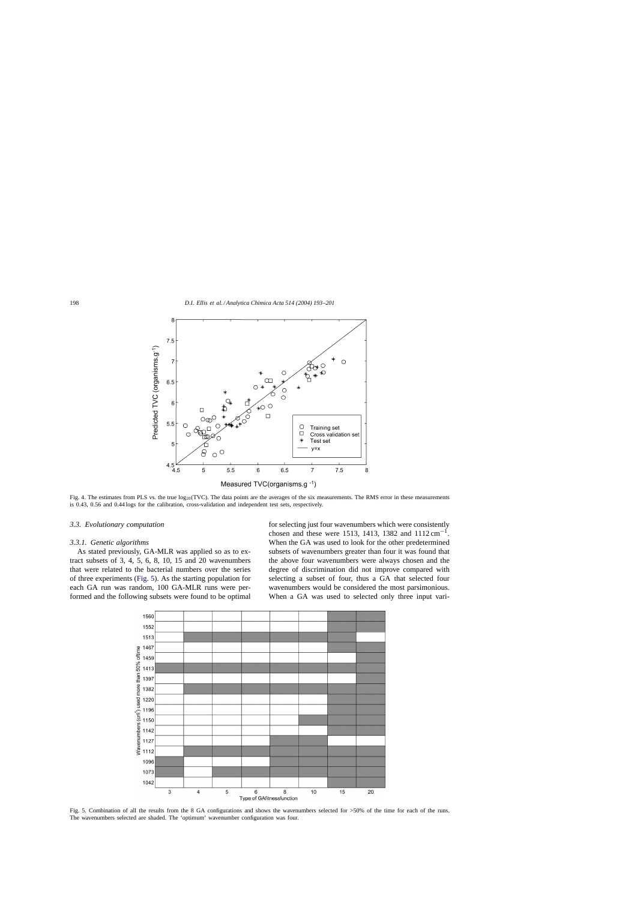<span id="page-5-0"></span>

Fig. 4. The estimates from PLS vs. the true  $log_{10}(TVC)$ . The data points are the averages of the six measurements. The RMS error in these measurements is 0.43, 0.56 and 0.44 logs for the calibration, cross-validation and independent test sets, respectively.

#### *3.3. Evolutionary computation*

# *3.3.1. Genetic algorithms*

As stated previously, GA-MLR was applied so as to extract subsets of 3, 4, 5, 6, 8, 10, 15 and 20 wavenumbers that were related to the bacterial numbers over the series of three experiments (Fig. 5). As the starting population for each GA run was random, 100 GA-MLR runs were performed and the following subsets were found to be optimal

for selecting just four wavenumbers which were consistently chosen and these were 1513, 1413, 1382 and  $1112 \text{ cm}^{-1}$ . When the GA was used to look for the other predetermined subsets of wavenumbers greater than four it was found that the above four wavenumbers were always chosen and the degree of discrimination did not improve compared with selecting a subset of four, thus a GA that selected four wavenumbers would be considered the most parsimonious. When a GA was used to selected only three input vari-



Fig. 5. Combination of all the results from the 8 GA configurations and shows the wavenumbers selected for >50% of the time for each of the runs. The wavenumbers selected are shaded. The 'optimum' wavenumber configuration was four.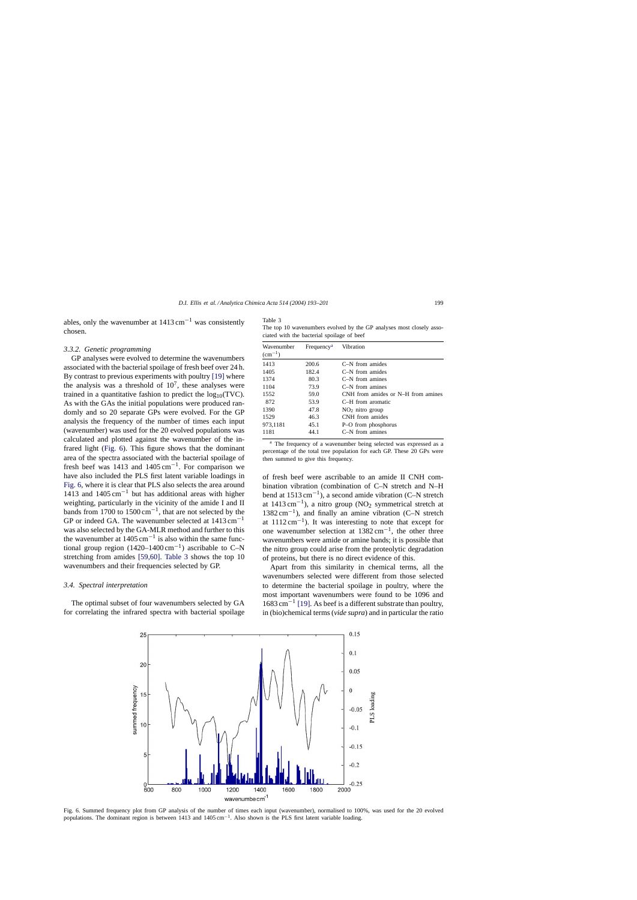<span id="page-6-0"></span>ables, only the wavenumber at  $1413 \text{ cm}^{-1}$  was consistently chosen.

## *3.3.2. Genetic programming*

GP analyses were evolved to determine the wavenumbers associated with the bacterial spoilage of fresh beef over 24 h. By contrast to previous experiments with poultry [\[19\]](#page-7-0) where the analysis was a threshold of  $10<sup>7</sup>$ , these analyses were trained in a quantitative fashion to predict the  $log_{10}(TVC)$ . As with the GAs the initial populations were produced randomly and so 20 separate GPs were evolved. For the GP analysis the frequency of the number of times each input (wavenumber) was used for the 20 evolved populations was calculated and plotted against the wavenumber of the infrared light (Fig. 6). This figure shows that the dominant area of the spectra associated with the bacterial spoilage of fresh beef was 1413 and  $1405 \text{ cm}^{-1}$ . For comparison we have also included the PLS first latent variable loadings in Fig. 6, where it is clear that PLS also selects the area around 1413 and  $1405 \text{ cm}^{-1}$  but has additional areas with higher weighting, particularly in the vicinity of the amide I and II bands from 1700 to  $1500 \text{ cm}^{-1}$ , that are not selected by the GP or indeed GA. The wavenumber selected at 1413 cm−<sup>1</sup> was also selected by the GA-MLR method and further to this the wavenumber at  $1405 \text{ cm}^{-1}$  is also within the same functional group region  $(1420-1400 \text{ cm}^{-1})$  ascribable to C–N stretching from amides [\[59,60\].](#page-8-0) Table 3 shows the top 10 wavenumbers and their frequencies selected by GP.

## *3.4. Spectral interpretation*

The optimal subset of four wavenumbers selected by GA for correlating the infrared spectra with bacterial spoilage

Table 3

The top 10 wavenumbers evolved by the GP analyses most closely associated with the bacterial spoilage of beef

| Wavenumber<br>$\rm (cm^{-1})$ | Frequency <sup>a</sup> | Vibration                          |  |  |
|-------------------------------|------------------------|------------------------------------|--|--|
| 1413                          | 200.6                  | C-N from amides                    |  |  |
| 1405                          | 182.4                  | $C-N$ from amides                  |  |  |
| 1374                          | 80.3                   | $C-N$ from amines                  |  |  |
| 1104                          | 73.9                   | $C-N$ from amines                  |  |  |
| 1552                          | 59.0                   | CNH from amides or N-H from amines |  |  |
| 872                           | 53.9                   | C-H from aromatic                  |  |  |
| 1390                          | 47.8                   | $NO2$ nitro group                  |  |  |
| 1529                          | 46.3                   | CNH from amides                    |  |  |
| 973,1181                      | 45.1                   | P-O from phosphorus                |  |  |
| 1181<br>44.1                  |                        | $C-N$ from amines                  |  |  |

<sup>a</sup> The frequency of a wavenumber being selected was expressed as a percentage of the total tree population for each GP. These 20 GPs were then summed to give this frequency.

of fresh beef were ascribable to an amide II CNH combination vibration (combination of C–N stretch and N–H bend at 1513 cm−1), a second amide vibration (C–N stretch at  $1413 \text{ cm}^{-1}$ ), a nitro group (NO<sub>2</sub> symmetrical stretch at 1382 cm−1), and finally an amine vibration (C–N stretch at  $1112 \text{ cm}^{-1}$ ). It was interesting to note that except for one wavenumber selection at  $1382 \text{ cm}^{-1}$ , the other three wavenumbers were amide or amine bands; it is possible that the nitro group could arise from the proteolytic degradation of proteins, but there is no direct evidence of this.

Apart from this similarity in chemical terms, all the wavenumbers selected were different from those selected to determine the bacterial spoilage in poultry, where the most important wavenumbers were found to be 1096 and 1683 cm−<sup>1</sup> [\[19\]. A](#page-7-0)s beef is a different substrate than poultry, in (bio)chemical terms (*vide supra*) and in particular the ratio



Fig. 6. Summed frequency plot from GP analysis of the number of times each input (wavenumber), normalised to 100%, was used for the 20 evolved populations. The dominant region is between 1413 and 1405 cm−1. Also shown is the PLS first latent variable loading.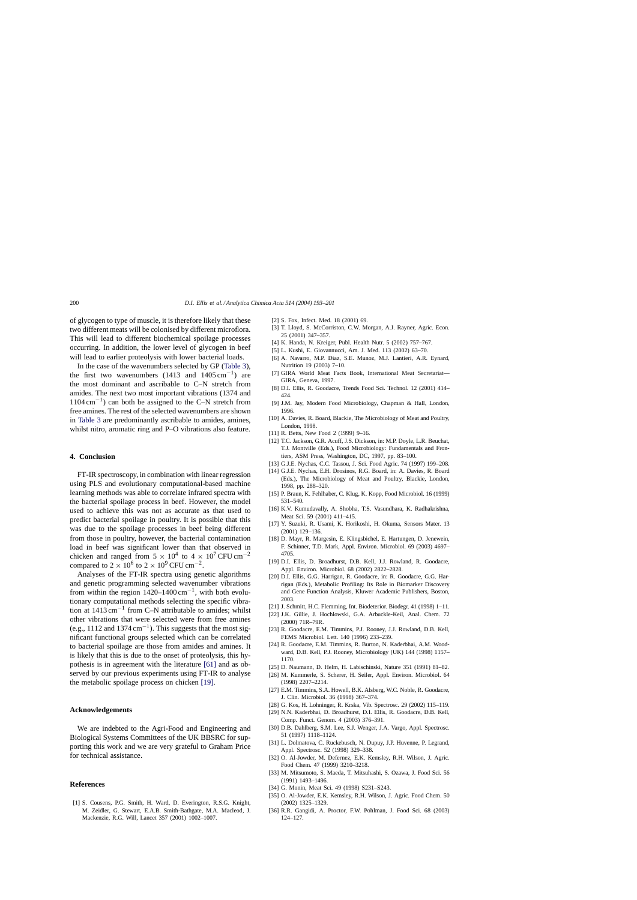<span id="page-7-0"></span>of glycogen to type of muscle, it is therefore likely that these two different meats will be colonised by different microflora. This will lead to different biochemical spoilage processes occurring. In addition, the lower level of glycogen in beef will lead to earlier proteolysis with lower bacterial loads.

In the case of the wavenumbers selected by GP [\(Table 3\),](#page-6-0) the first two wavenumbers (1413 and 1405 cm<sup>-1</sup>) are the most dominant and ascribable to C–N stretch from amides. The next two most important vibrations (1374 and  $1104 \text{ cm}^{-1}$ ) can both be assigned to the C–N stretch from free amines. The rest of the selected wavenumbers are shown in [Table 3](#page-6-0) are predominantly ascribable to amides, amines, whilst nitro, aromatic ring and P–O vibrations also feature.

# **4. Conclusion**

FT-IR spectroscopy, in combination with linear regression using PLS and evolutionary computational-based machine learning methods was able to correlate infrared spectra with the bacterial spoilage process in beef. However, the model used to achieve this was not as accurate as that used to predict bacterial spoilage in poultry. It is possible that this was due to the spoilage processes in beef being different from those in poultry, however, the bacterial contamination load in beef was significant lower than that observed in chicken and ranged from  $5 \times 10^4$  to  $4 \times 10^7$  CFU cm<sup>-2</sup> compared to  $2 \times 10^6$  to  $2 \times 10^9$  CFU cm<sup>-2</sup>.

Analyses of the FT-IR spectra using genetic algorithms and genetic programming selected wavenumber vibrations from within the region  $1420-1400$  cm<sup>-1</sup>, with both evolutionary computational methods selecting the specific vibration at  $1413 \text{ cm}^{-1}$  from C–N attributable to amides; whilst other vibrations that were selected were from free amines (e.g., 1112 and 1374 cm<sup>-1</sup>). This suggests that the most significant functional groups selected which can be correlated to bacterial spoilage are those from amides and amines. It is likely that this is due to the onset of proteolysis, this hypothesis is in agreement with the literature [\[61\]](#page-8-0) and as observed by our previous experiments using FT-IR to analyse the metabolic spoilage process on chicken [19].

### **Acknowledgements**

We are indebted to the Agri-Food and Engineering and Biological Systems Committees of the UK BBSRC for supporting this work and we are very grateful to Graham Price for technical assistance.

# **References**

[1] S. Cousens, P.G. Smith, H. Ward, D. Everington, R.S.G. Knight, M. Zeidler, G. Stewart, E.A.B. Smith-Bathgate, M.A. Macleod, J. Mackenzie, R.G. Will, Lancet 357 (2001) 1002–1007.

- [2] S. Fox, Infect. Med. 18 (2001) 69.
- [3] T. Lloyd, S. McCorriston, C.W. Morgan, A.J. Rayner, Agric. Econ. 25 (2001) 347–357.
- [4] K. Handa, N. Kreiger, Publ. Health Nutr. 5 (2002) 757–767.
- [5] L. Kushi, E. Giovannucci, Am. J. Med. 113 (2002) 63–70.
- [6] A. Navarro, M.P. Diaz, S.E. Munoz, M.J. Lantieri, A.R. Eynard, Nutrition 19 (2003) 7–10.
- [7] GIRA World Meat Facts Book, International Meat Secretariat— GIRA, Geneva, 1997.
- [8] D.I. Ellis, R. Goodacre, Trends Food Sci. Technol. 12 (2001) 414– 424.
- [9] J.M. Jay, Modern Food Microbiology, Chapman & Hall, London, 1996.
- [10] A. Davies, R. Board, Blackie, The Microbiology of Meat and Poultry, London, 1998.
- [11] R. Betts, New Food 2 (1999) 9-16.
- [12] T.C. Jackson, G.R. Acuff, J.S. Dickson, in: M.P. Doyle, L.R. Beuchat, T.J. Montville (Eds.), Food Microbiology: Fundamentals and Frontiers, ASM Press, Washington, DC, 1997, pp. 83–100.
- [13] G.J.E. Nychas, C.C. Tassou, J. Sci. Food Agric. 74 (1997) 199–208.
- [14] G.J.E. Nychas, E.H. Drosinos, R.G. Board, in: A. Davies, R. Board (Eds.), The Microbiology of Meat and Poultry, Blackie, London, 1998, pp. 288–320.
- [15] P. Braun, K. Fehlhaber, C. Klug, K. Kopp, Food Microbiol. 16 (1999) 531–540.
- [16] K.V. Kumudavally, A. Shobha, T.S. Vasundhara, K. Radhakrishna, Meat Sci. 59 (2001) 411–415.
- [17] Y. Suzuki, R. Usami, K. Horikoshi, H. Okuma, Sensors Mater. 13 (2001) 129–136.
- [18] D. Mayr, R. Margesin, E. Klingsbichel, E. Hartungen, D. Jenewein, F. Schinner, T.D. Mark, Appl. Environ. Microbiol. 69 (2003) 4697– 4705.
- [19] D.I. Ellis, D. Broadhurst, D.B. Kell, J.J. Rowland, R. Goodacre, Appl. Environ. Microbiol. 68 (2002) 2822–2828.
- [20] D.I. Ellis, G.G. Harrigan, R. Goodacre, in: R. Goodacre, G.G. Harrigan (Eds.), Metabolic Profiling: Its Role in Biomarker Discovery and Gene Function Analysis, Kluwer Academic Publishers, Boston, 2003.
- [21] J. Schmitt, H.C. Flemming, Int. Biodeterior. Biodegr. 41 (1998) 1–11.
- [22] J.K. Gillie, J. Hochlowski, G.A. Arbuckle-Keil, Anal. Chem. 72 (2000) 71R–79R.
- [23] R. Goodacre, E.M. Timmins, P.J. Rooney, J.J. Rowland, D.B. Kell, FEMS Microbiol. Lett. 140 (1996) 233–239.
- [24] R. Goodacre, E.M. Timmins, R. Burton, N. Kaderbhai, A.M. Woodward, D.B. Kell, P.J. Rooney, Microbiology (UK) 144 (1998) 1157– 1170.
- [25] D. Naumann, D. Helm, H. Labischinski, Nature 351 (1991) 81–82.
- [26] M. Kummerle, S. Scherer, H. Seiler, Appl. Environ. Microbiol. 64 (1998) 2207–2214.
- [27] E.M. Timmins, S.A. Howell, B.K. Alsberg, W.C. Noble, R. Goodacre, J. Clin. Microbiol. 36 (1998) 367–374.
- [28] G. Kos, H. Lohninger, R. Krska, Vib. Spectrosc. 29 (2002) 115–119.
- [29] N.N. Kaderbhai, D. Broadhurst, D.I. Ellis, R. Goodacre, D.B. Kell, Comp. Funct. Genom. 4 (2003) 376–391.
- [30] D.B. Dahlberg, S.M. Lee, S.J. Wenger, J.A. Vargo, Appl. Spectrosc. 51 (1997) 1118–1124.
- [31] L. Dolmatova, C. Ruckebusch, N. Dupuy, J.P. Huvenne, P. Legrand, Appl. Spectrosc. 52 (1998) 329–338.
- [32] O. Al-Jowder, M. Defernez, E.K. Kemsley, R.H. Wilson, J. Agric. Food Chem. 47 (1999) 3210–3218.
- [33] M. Mitsumoto, S. Maeda, T. Mitsuhashi, S. Ozawa, J. Food Sci. 56 (1991) 1493–1496.
- [34] G. Monin, Meat Sci. 49 (1998) S231–S243.
- [35] O. Al-Jowder, E.K. Kemsley, R.H. Wilson, J. Agric. Food Chem. 50 (2002) 1325–1329.
- [36] R.R. Gangidi, A. Proctor, F.W. Pohlman, J. Food Sci. 68 (2003) 124–127.